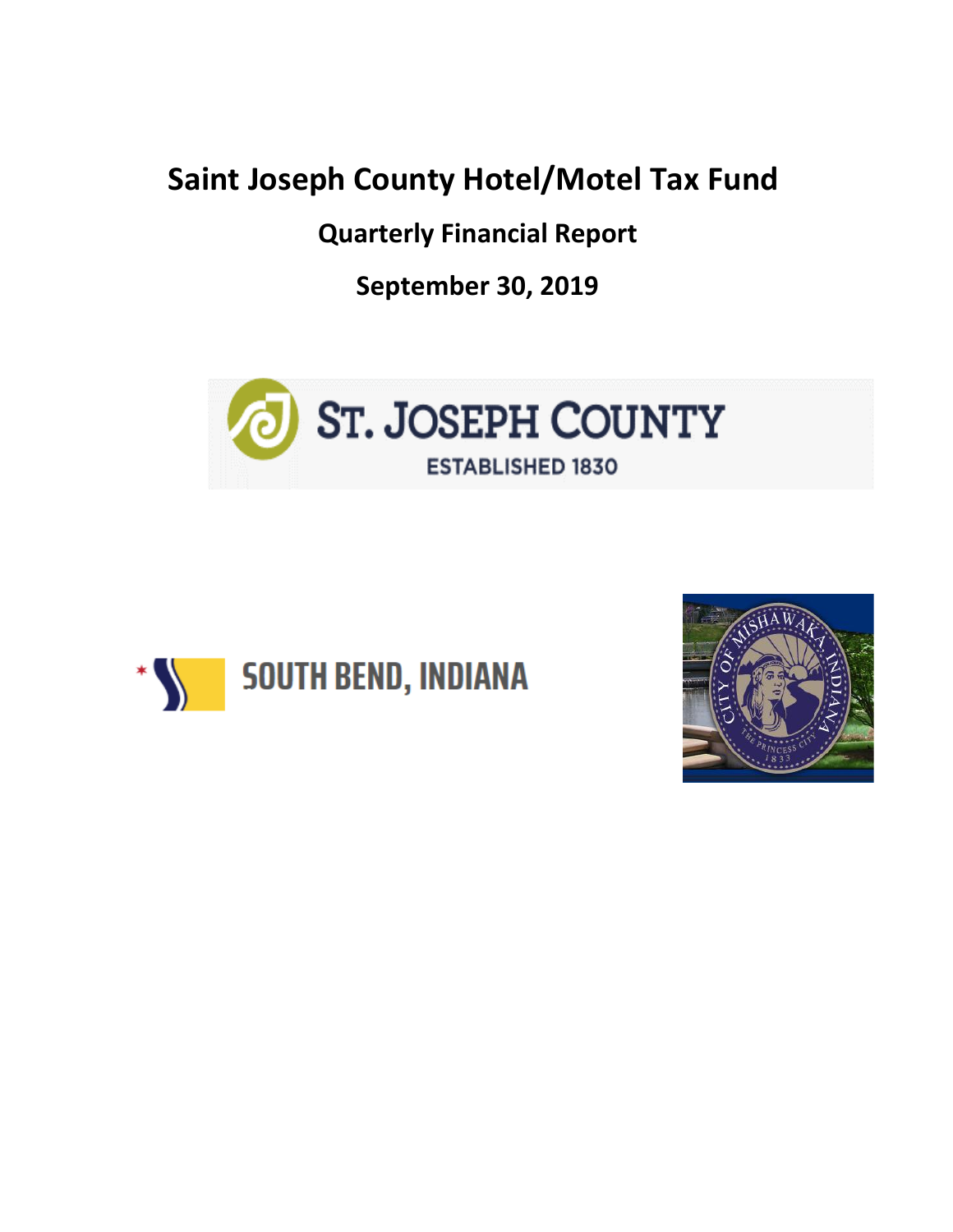## **Saint Joseph County Hotel/Motel Tax Fund**

**Quarterly Financial Report**

**September 30, 2019**





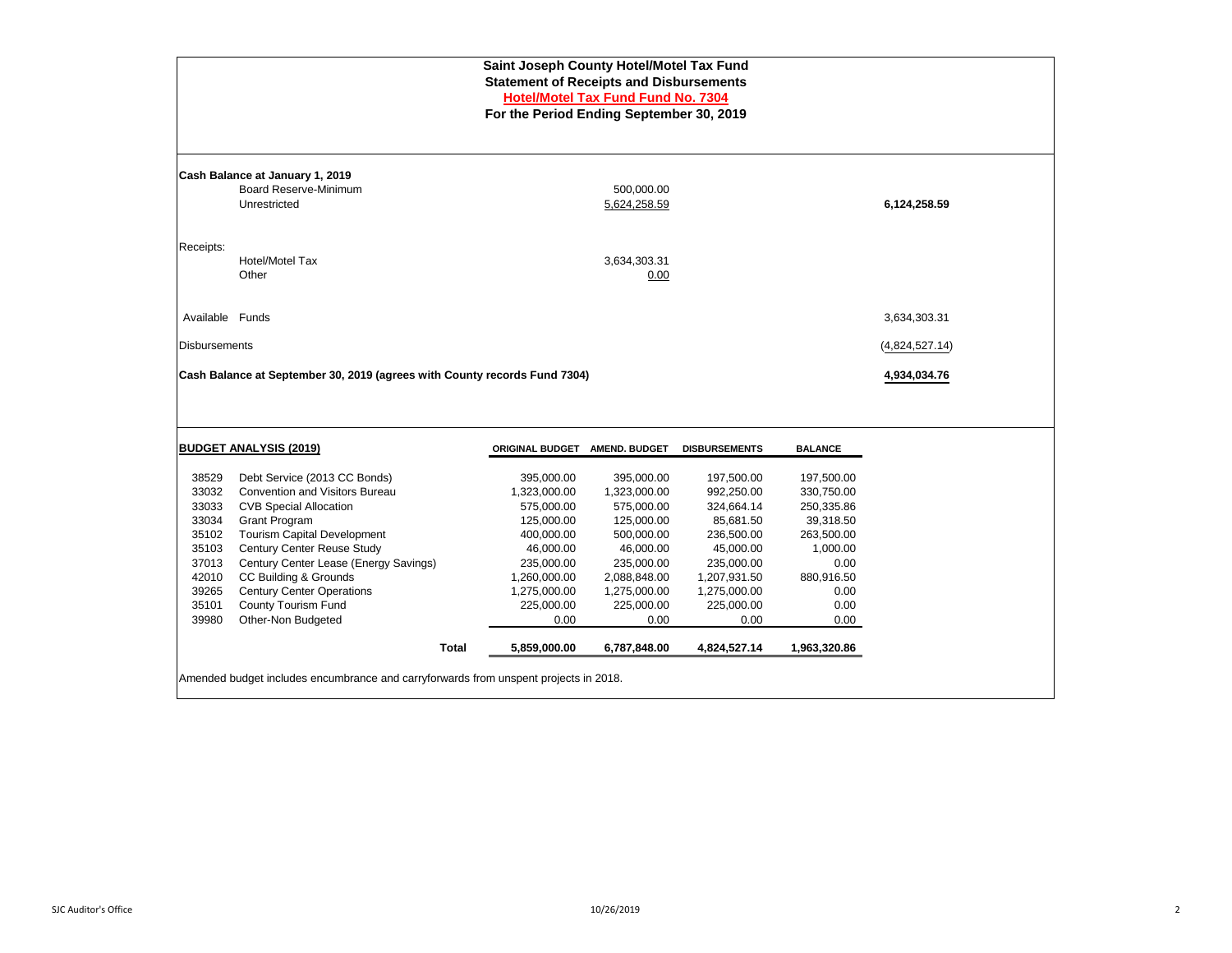| Saint Joseph County Hotel/Motel Tax Fund<br><b>Statement of Receipts and Disbursements</b><br><b>Hotel/Motel Tax Fund Fund No. 7304</b><br>For the Period Ending September 30, 2019 |                                                                           |                        |                            |                      |                      |                |  |  |  |  |  |  |  |  |  |
|-------------------------------------------------------------------------------------------------------------------------------------------------------------------------------------|---------------------------------------------------------------------------|------------------------|----------------------------|----------------------|----------------------|----------------|--|--|--|--|--|--|--|--|--|
|                                                                                                                                                                                     |                                                                           |                        |                            |                      |                      |                |  |  |  |  |  |  |  |  |  |
|                                                                                                                                                                                     | Cash Balance at January 1, 2019                                           |                        |                            |                      |                      |                |  |  |  |  |  |  |  |  |  |
|                                                                                                                                                                                     | Board Reserve-Minimum<br>Unrestricted                                     |                        | 500,000.00<br>5,624,258.59 |                      |                      | 6,124,258.59   |  |  |  |  |  |  |  |  |  |
|                                                                                                                                                                                     |                                                                           |                        |                            |                      |                      |                |  |  |  |  |  |  |  |  |  |
| Receipts:                                                                                                                                                                           | Hotel/Motel Tax                                                           |                        | 3,634,303.31               |                      |                      |                |  |  |  |  |  |  |  |  |  |
|                                                                                                                                                                                     | Other                                                                     |                        | 0.00                       |                      |                      |                |  |  |  |  |  |  |  |  |  |
|                                                                                                                                                                                     |                                                                           |                        |                            |                      |                      |                |  |  |  |  |  |  |  |  |  |
|                                                                                                                                                                                     |                                                                           | 3,634,303.31           |                            |                      |                      |                |  |  |  |  |  |  |  |  |  |
| Available Funds                                                                                                                                                                     |                                                                           |                        |                            |                      | <b>Disbursements</b> |                |  |  |  |  |  |  |  |  |  |
|                                                                                                                                                                                     |                                                                           |                        |                            |                      |                      | (4,824,527.14) |  |  |  |  |  |  |  |  |  |
|                                                                                                                                                                                     | Cash Balance at September 30, 2019 (agrees with County records Fund 7304) |                        |                            |                      |                      | 4,934,034.76   |  |  |  |  |  |  |  |  |  |
|                                                                                                                                                                                     |                                                                           |                        |                            |                      |                      |                |  |  |  |  |  |  |  |  |  |
|                                                                                                                                                                                     |                                                                           |                        |                            |                      |                      |                |  |  |  |  |  |  |  |  |  |
|                                                                                                                                                                                     | <b>BUDGET ANALYSIS (2019)</b>                                             | <b>ORIGINAL BUDGET</b> | <b>AMEND. BUDGET</b>       | <b>DISBURSEMENTS</b> | <b>BALANCE</b>       |                |  |  |  |  |  |  |  |  |  |
| 38529                                                                                                                                                                               | Debt Service (2013 CC Bonds)                                              | 395,000.00             | 395,000.00                 | 197,500.00           | 197,500.00           |                |  |  |  |  |  |  |  |  |  |
| 33032                                                                                                                                                                               | <b>Convention and Visitors Bureau</b>                                     | 1,323,000.00           | 1,323,000.00               | 992,250.00           | 330,750.00           |                |  |  |  |  |  |  |  |  |  |
| 33033                                                                                                                                                                               | <b>CVB Special Allocation</b>                                             | 575,000.00             | 575,000.00                 | 324,664.14           | 250,335.86           |                |  |  |  |  |  |  |  |  |  |
| 33034                                                                                                                                                                               | <b>Grant Program</b>                                                      | 125,000.00             | 125,000.00                 | 85,681.50            | 39,318.50            |                |  |  |  |  |  |  |  |  |  |
| 35102                                                                                                                                                                               | <b>Tourism Capital Development</b>                                        | 400,000.00             | 500,000.00                 | 236,500.00           | 263,500.00           |                |  |  |  |  |  |  |  |  |  |
| 35103                                                                                                                                                                               | Century Center Reuse Study                                                | 46,000.00              | 46,000.00                  | 45,000.00            | 1,000.00             |                |  |  |  |  |  |  |  |  |  |
| 37013                                                                                                                                                                               | Century Center Lease (Energy Savings)                                     | 235,000.00             | 235,000.00                 | 235,000.00           | 0.00                 |                |  |  |  |  |  |  |  |  |  |
| 42010                                                                                                                                                                               | CC Building & Grounds                                                     | 1,260,000.00           | 2,088,848.00               | 1,207,931.50         | 880,916.50           |                |  |  |  |  |  |  |  |  |  |
| 39265                                                                                                                                                                               | <b>Century Center Operations</b>                                          | 1,275,000.00           | 1,275,000.00               | 1,275,000.00         | 0.00                 |                |  |  |  |  |  |  |  |  |  |
| 35101                                                                                                                                                                               | County Tourism Fund                                                       | 225,000.00             | 225,000.00                 | 225,000.00           | 0.00                 |                |  |  |  |  |  |  |  |  |  |
| 39980                                                                                                                                                                               | Other-Non Budgeted                                                        | 0.00                   | 0.00                       | 0.00                 | 0.00                 |                |  |  |  |  |  |  |  |  |  |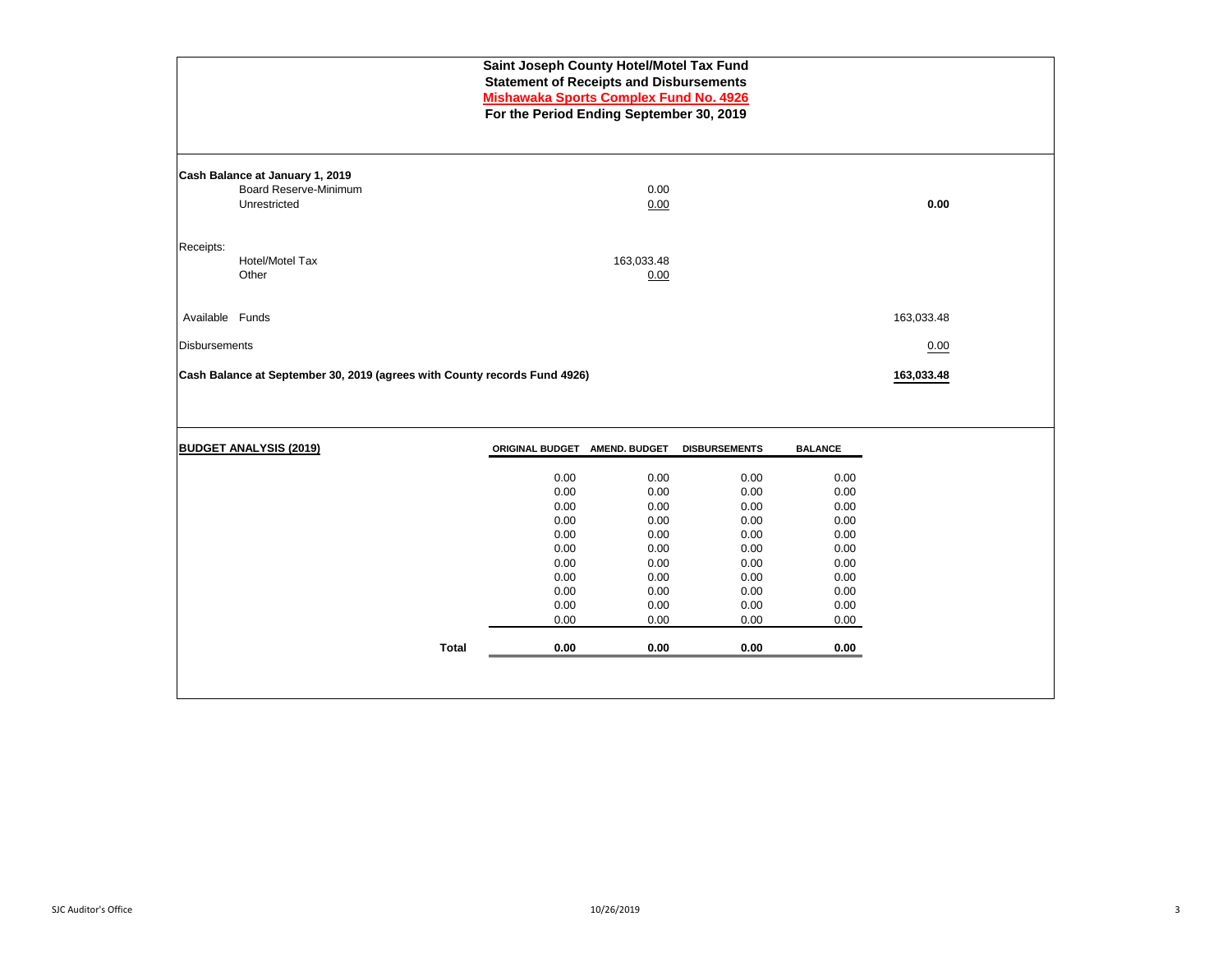| Saint Joseph County Hotel/Motel Tax Fund<br><b>Statement of Receipts and Disbursements</b><br><b>Mishawaka Sports Complex Fund No. 4926</b><br>For the Period Ending September 30, 2019 |                                                                           |                               |              |                      |                |            |  |  |  |
|-----------------------------------------------------------------------------------------------------------------------------------------------------------------------------------------|---------------------------------------------------------------------------|-------------------------------|--------------|----------------------|----------------|------------|--|--|--|
|                                                                                                                                                                                         | Cash Balance at January 1, 2019                                           |                               |              |                      |                |            |  |  |  |
|                                                                                                                                                                                         | <b>Board Reserve-Minimum</b>                                              |                               | 0.00         |                      |                |            |  |  |  |
|                                                                                                                                                                                         | Unrestricted                                                              |                               | 0.00         |                      |                | 0.00       |  |  |  |
| Receipts:                                                                                                                                                                               |                                                                           |                               |              |                      |                |            |  |  |  |
|                                                                                                                                                                                         | Hotel/Motel Tax                                                           |                               | 163,033.48   |                      |                |            |  |  |  |
|                                                                                                                                                                                         | Other                                                                     |                               | 0.00         |                      |                |            |  |  |  |
| Available Funds                                                                                                                                                                         |                                                                           |                               |              |                      |                | 163,033.48 |  |  |  |
|                                                                                                                                                                                         |                                                                           |                               |              |                      |                |            |  |  |  |
| <b>Disbursements</b>                                                                                                                                                                    |                                                                           |                               |              |                      |                | 0.00       |  |  |  |
|                                                                                                                                                                                         | Cash Balance at September 30, 2019 (agrees with County records Fund 4926) |                               |              |                      |                | 163,033.48 |  |  |  |
|                                                                                                                                                                                         |                                                                           |                               |              |                      |                |            |  |  |  |
|                                                                                                                                                                                         |                                                                           |                               |              |                      |                |            |  |  |  |
|                                                                                                                                                                                         | <b>BUDGET ANALYSIS (2019)</b>                                             | ORIGINAL BUDGET AMEND. BUDGET |              | <b>DISBURSEMENTS</b> | <b>BALANCE</b> |            |  |  |  |
|                                                                                                                                                                                         |                                                                           | 0.00                          | 0.00         | 0.00                 | 0.00           |            |  |  |  |
|                                                                                                                                                                                         |                                                                           | 0.00                          | 0.00         | 0.00                 | 0.00           |            |  |  |  |
|                                                                                                                                                                                         |                                                                           | 0.00                          | 0.00         | 0.00                 | 0.00           |            |  |  |  |
|                                                                                                                                                                                         |                                                                           | 0.00                          | 0.00         | 0.00                 | 0.00           |            |  |  |  |
|                                                                                                                                                                                         |                                                                           | 0.00<br>0.00                  | 0.00<br>0.00 | 0.00<br>0.00         | 0.00<br>0.00   |            |  |  |  |
|                                                                                                                                                                                         |                                                                           | 0.00                          | 0.00         | 0.00                 | 0.00           |            |  |  |  |
|                                                                                                                                                                                         |                                                                           | 0.00                          | 0.00         | 0.00                 | 0.00           |            |  |  |  |
|                                                                                                                                                                                         |                                                                           | 0.00                          | 0.00         | 0.00                 | 0.00           |            |  |  |  |
|                                                                                                                                                                                         |                                                                           | 0.00                          | 0.00         | 0.00                 | 0.00           |            |  |  |  |
|                                                                                                                                                                                         |                                                                           | 0.00                          | 0.00         | 0.00                 | 0.00           |            |  |  |  |
|                                                                                                                                                                                         | <b>Total</b>                                                              | 0.00                          | 0.00         | 0.00                 | 0.00           |            |  |  |  |
|                                                                                                                                                                                         |                                                                           |                               |              |                      |                |            |  |  |  |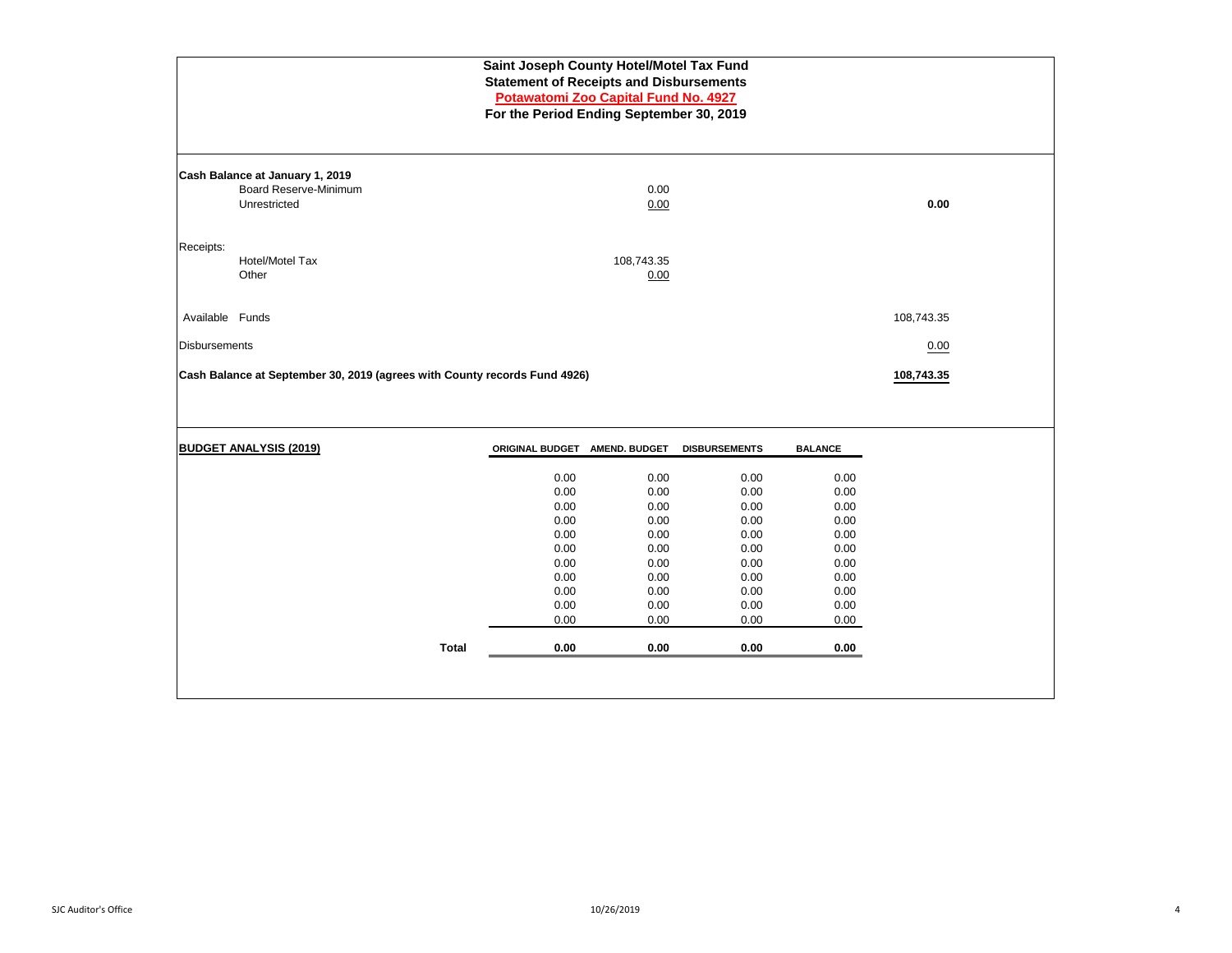| Saint Joseph County Hotel/Motel Tax Fund<br><b>Statement of Receipts and Disbursements</b><br>Potawatomi Zoo Capital Fund No. 4927<br>For the Period Ending September 30, 2019 |                                                                                 |                                                                                              |                                                                                              |                                                                                              |                                                                                              |            |  |  |  |  |
|--------------------------------------------------------------------------------------------------------------------------------------------------------------------------------|---------------------------------------------------------------------------------|----------------------------------------------------------------------------------------------|----------------------------------------------------------------------------------------------|----------------------------------------------------------------------------------------------|----------------------------------------------------------------------------------------------|------------|--|--|--|--|
|                                                                                                                                                                                | Cash Balance at January 1, 2019<br><b>Board Reserve-Minimum</b><br>Unrestricted |                                                                                              | 0.00<br>0.00                                                                                 |                                                                                              |                                                                                              | 0.00       |  |  |  |  |
| Receipts:                                                                                                                                                                      | Hotel/Motel Tax<br>Other                                                        |                                                                                              | 108,743.35<br>0.00                                                                           |                                                                                              |                                                                                              |            |  |  |  |  |
| Available Funds                                                                                                                                                                |                                                                                 |                                                                                              |                                                                                              |                                                                                              |                                                                                              | 108,743.35 |  |  |  |  |
| <b>Disbursements</b>                                                                                                                                                           |                                                                                 |                                                                                              |                                                                                              |                                                                                              |                                                                                              | 0.00       |  |  |  |  |
|                                                                                                                                                                                | Cash Balance at September 30, 2019 (agrees with County records Fund 4926)       |                                                                                              |                                                                                              |                                                                                              |                                                                                              | 108,743.35 |  |  |  |  |
|                                                                                                                                                                                | <b>BUDGET ANALYSIS (2019)</b>                                                   | ORIGINAL BUDGET AMEND. BUDGET                                                                |                                                                                              | <b>DISBURSEMENTS</b>                                                                         | <b>BALANCE</b>                                                                               |            |  |  |  |  |
|                                                                                                                                                                                | <b>Total</b>                                                                    | 0.00<br>0.00<br>0.00<br>0.00<br>0.00<br>0.00<br>0.00<br>0.00<br>0.00<br>0.00<br>0.00<br>0.00 | 0.00<br>0.00<br>0.00<br>0.00<br>0.00<br>0.00<br>0.00<br>0.00<br>0.00<br>0.00<br>0.00<br>0.00 | 0.00<br>0.00<br>0.00<br>0.00<br>0.00<br>0.00<br>0.00<br>0.00<br>0.00<br>0.00<br>0.00<br>0.00 | 0.00<br>0.00<br>0.00<br>0.00<br>0.00<br>0.00<br>0.00<br>0.00<br>0.00<br>0.00<br>0.00<br>0.00 |            |  |  |  |  |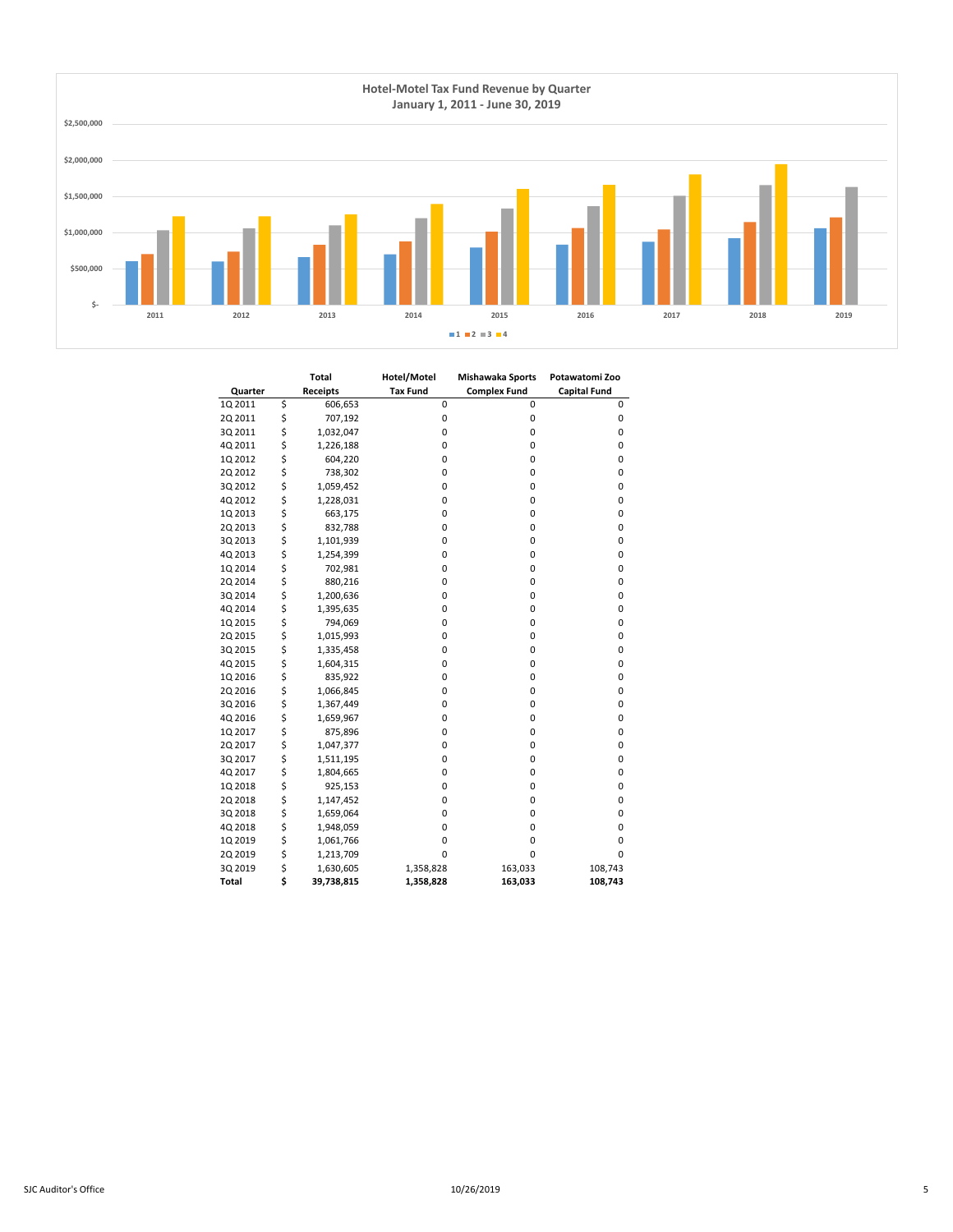

|         | <b>Total</b>     | Hotel/Motel     | Mishawaka Sports    | Potawatomi Zoo      |
|---------|------------------|-----------------|---------------------|---------------------|
| Quarter | <b>Receipts</b>  | <b>Tax Fund</b> | <b>Complex Fund</b> | <b>Capital Fund</b> |
| 1Q 2011 | \$<br>606,653    | 0               | 0                   | 0                   |
| 2Q 2011 | \$<br>707,192    | 0               | 0                   | 0                   |
| 3Q 2011 | \$<br>1,032,047  | 0               | 0                   | 0                   |
| 4Q 2011 | \$<br>1,226,188  | 0               | 0                   | 0                   |
| 1Q 2012 | \$<br>604,220    | 0               | 0                   | 0                   |
| 2Q 2012 | \$<br>738,302    | 0               | 0                   | 0                   |
| 3Q 2012 | \$<br>1,059,452  | 0               | 0                   | 0                   |
| 4Q 2012 | \$<br>1,228,031  | 0               | 0                   | 0                   |
| 1Q 2013 | \$<br>663,175    | 0               | 0                   | 0                   |
| 2Q 2013 | \$<br>832,788    | 0               | 0                   | $\mathbf 0$         |
| 3Q 2013 | \$<br>1,101,939  | 0               | 0                   | 0                   |
| 4Q 2013 | \$<br>1,254,399  | 0               | 0                   | 0                   |
| 1Q 2014 | \$<br>702,981    | 0               | 0                   | 0                   |
| 2Q 2014 | \$<br>880,216    | 0               | 0                   | $\mathbf 0$         |
| 3Q 2014 | \$<br>1,200,636  | 0               | 0                   | $\mathbf 0$         |
| 4Q 2014 | \$<br>1,395,635  | 0               | 0                   | 0                   |
| 1Q 2015 | \$<br>794,069    | 0               | 0                   | 0                   |
| 2Q 2015 | \$<br>1,015,993  | 0               | 0                   | 0                   |
| 3Q 2015 | \$<br>1,335,458  | 0               | 0                   | $\mathbf 0$         |
| 4Q 2015 | \$<br>1,604,315  | 0               | 0                   | $\mathbf 0$         |
| 1Q 2016 | \$<br>835,922    | 0               | 0                   | 0                   |
| 2Q 2016 | \$<br>1,066,845  | 0               | 0                   | 0                   |
| 3Q 2016 | \$<br>1,367,449  | 0               | 0                   | 0                   |
| 4Q 2016 | \$<br>1,659,967  | 0               | 0                   | 0                   |
| 1Q 2017 | \$<br>875,896    | 0               | 0                   | 0                   |
| 2Q 2017 | \$<br>1,047,377  | 0               | 0                   | 0                   |
| 3Q 2017 | \$<br>1,511,195  | 0               | 0                   | 0                   |
| 4Q 2017 | \$<br>1,804,665  | 0               | 0                   | $\mathbf 0$         |
| 1Q 2018 | \$<br>925,153    | 0               | 0                   | $\mathbf 0$         |
| 2Q 2018 | \$<br>1,147,452  | 0               | 0                   | 0                   |
| 3Q 2018 | \$<br>1,659,064  | 0               | 0                   | 0                   |
| 4Q 2018 | \$<br>1,948,059  | 0               | 0                   | 0                   |
| 1Q 2019 | \$<br>1,061,766  | 0               | 0                   | $\mathbf 0$         |
| 2Q 2019 | \$<br>1,213,709  | 0               | 0                   | 0                   |
| 3Q 2019 | \$<br>1,630,605  | 1,358,828       | 163,033             | 108,743             |
| Total   | \$<br>39,738,815 | 1,358,828       | 163,033             | 108,743             |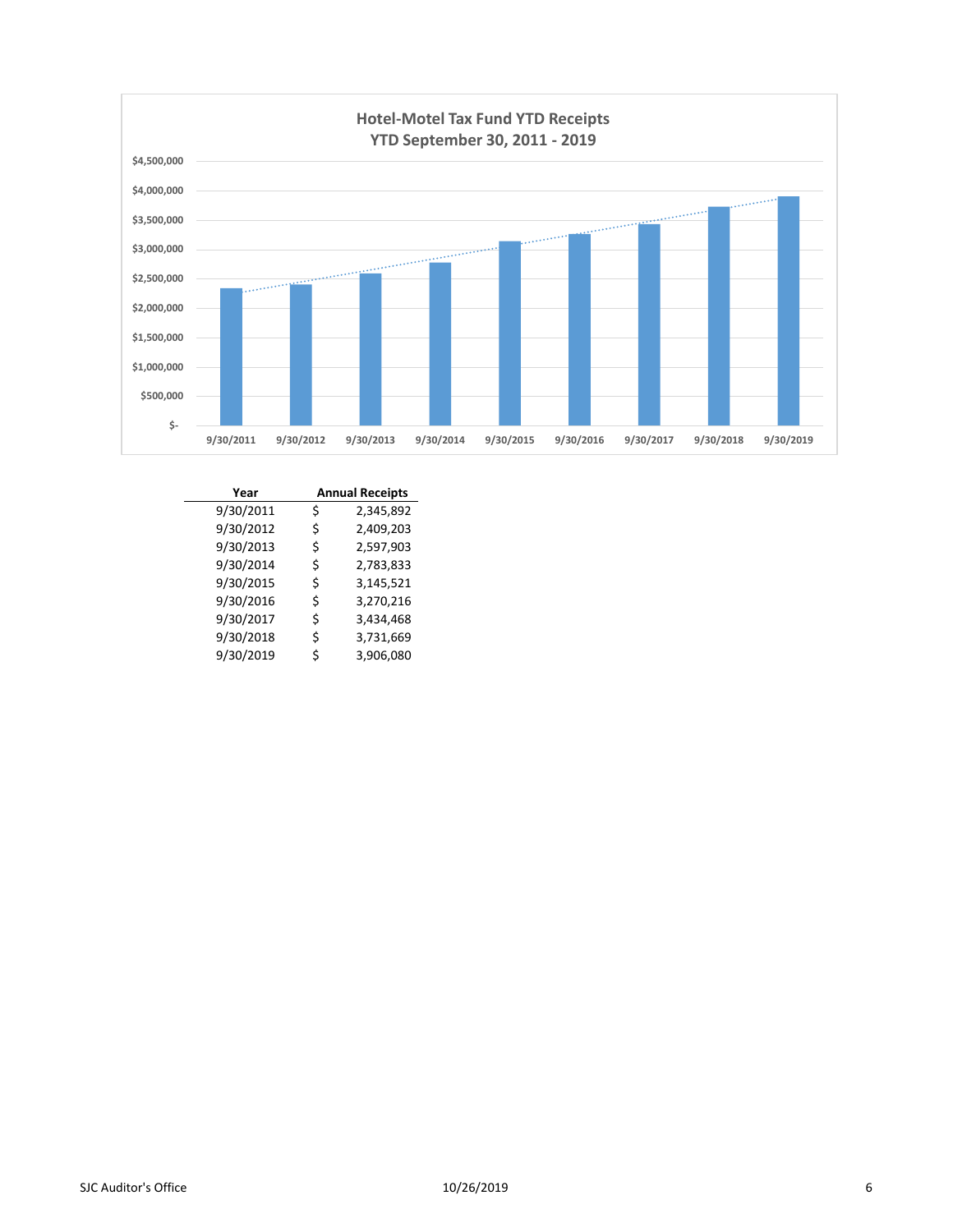

| Year      |    | <b>Annual Receipts</b> |  |  |  |  |
|-----------|----|------------------------|--|--|--|--|
| 9/30/2011 | \$ | 2,345,892              |  |  |  |  |
| 9/30/2012 | \$ | 2,409,203              |  |  |  |  |
| 9/30/2013 | \$ | 2,597,903              |  |  |  |  |
| 9/30/2014 | \$ | 2,783,833              |  |  |  |  |
| 9/30/2015 | \$ | 3,145,521              |  |  |  |  |
| 9/30/2016 | \$ | 3,270,216              |  |  |  |  |
| 9/30/2017 | \$ | 3,434,468              |  |  |  |  |
| 9/30/2018 | \$ | 3,731,669              |  |  |  |  |
| 9/30/2019 | Ś  | 3,906,080              |  |  |  |  |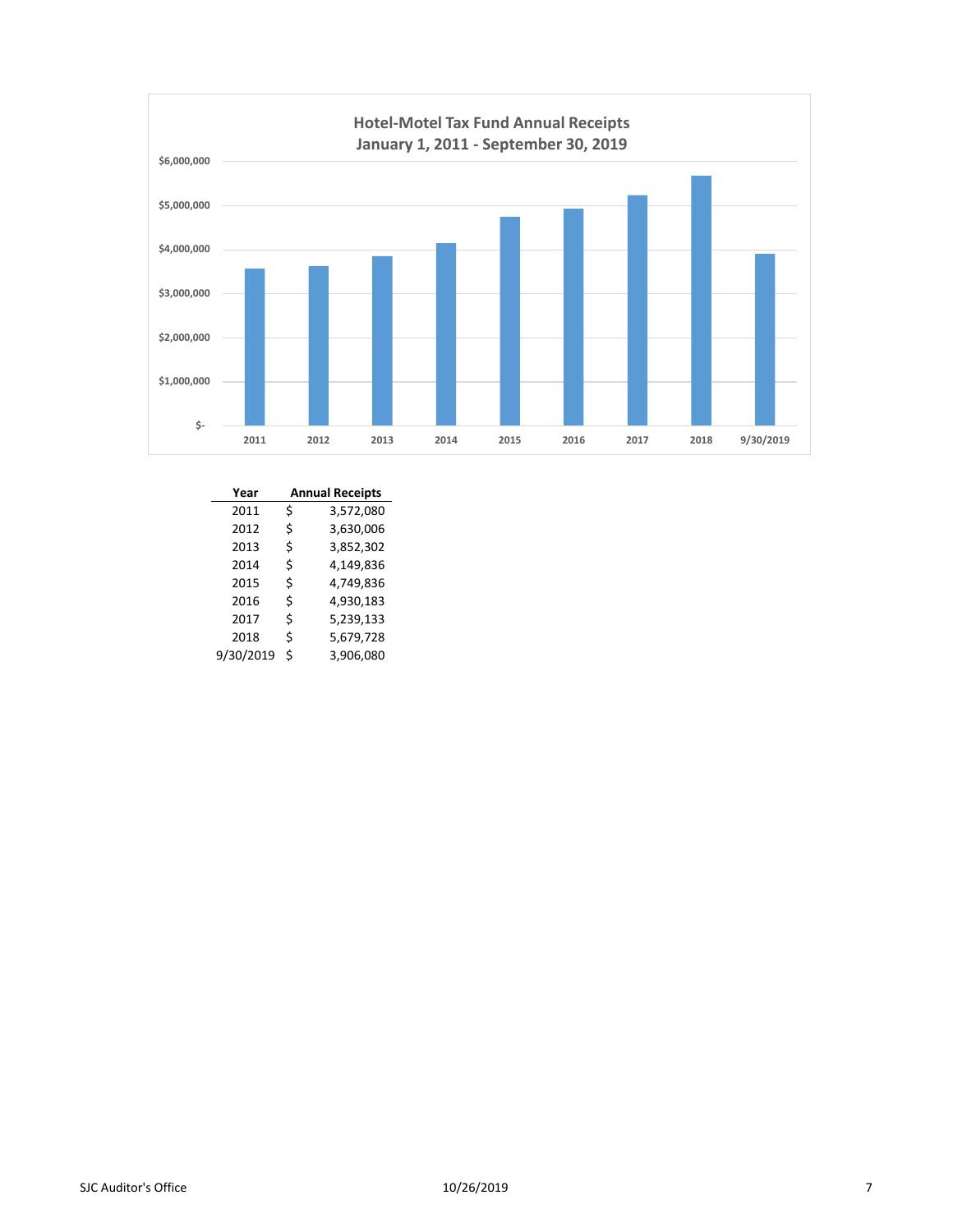

| Year      |   | <b>Annual Receipts</b> |  |  |  |  |  |  |
|-----------|---|------------------------|--|--|--|--|--|--|
| 2011      | Ś | 3,572,080              |  |  |  |  |  |  |
| 2012      | Ś | 3,630,006              |  |  |  |  |  |  |
| 2013      | Ś | 3,852,302              |  |  |  |  |  |  |
| 2014      | Ś | 4,149,836              |  |  |  |  |  |  |
| 2015      | Ś | 4,749,836              |  |  |  |  |  |  |
| 2016      | Ś | 4,930,183              |  |  |  |  |  |  |
| 2017      | Ś | 5,239,133              |  |  |  |  |  |  |
| 2018      | Ś | 5,679,728              |  |  |  |  |  |  |
| 9/30/2019 | Ś | 3,906,080              |  |  |  |  |  |  |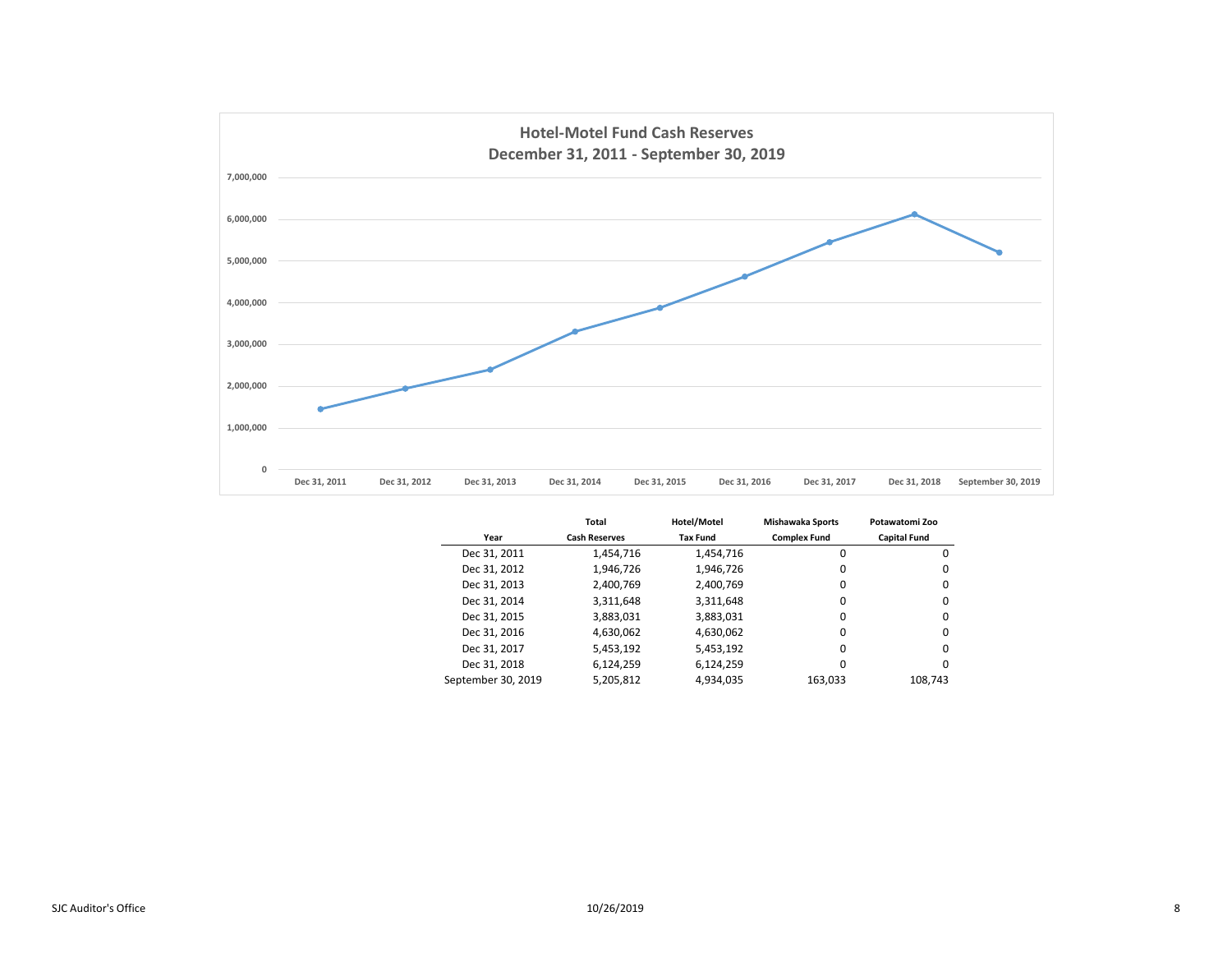

|                    | <b>Total</b>         | Hotel/Motel     |                     | Potawatomi Zoo      |
|--------------------|----------------------|-----------------|---------------------|---------------------|
| Year               | <b>Cash Reserves</b> | <b>Tax Fund</b> | <b>Complex Fund</b> | <b>Capital Fund</b> |
| Dec 31, 2011       | 1,454,716            | 1,454,716       | 0                   | 0                   |
| Dec 31, 2012       | 1,946,726            | 1,946,726       | 0                   | 0                   |
| Dec 31, 2013       | 2,400,769            | 2,400,769       | 0                   | 0                   |
| Dec 31, 2014       | 3,311,648            | 3,311,648       | 0                   | 0                   |
| Dec 31, 2015       | 3,883,031            | 3,883,031       | $\Omega$            | 0                   |
| Dec 31, 2016       | 4,630,062            | 4,630,062       | 0                   | 0                   |
| Dec 31, 2017       | 5,453,192            | 5,453,192       | $\Omega$            | 0                   |
| Dec 31, 2018       | 6,124,259            | 6,124,259       | 0                   | 0                   |
| September 30, 2019 | 5,205,812            | 4,934,035       | 163.033             | 108,743             |